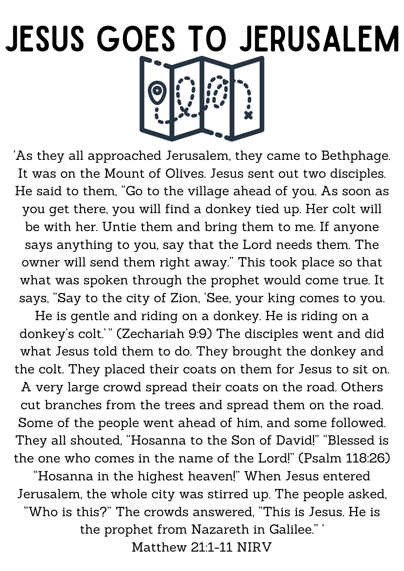## JESUS GOES TO JERUSALEM

'As they all approached Jerusalem, they came to Bethphage. It was on the Mount of Olives. Jesus sent out two disciples. He said to them, "Go to the village ahead of you. As soon as you get there, you will find a donkey tied up. Her colt will be with her. Untie them and bring them to me. If anyone says anything to you, say that the Lord needs them. The owner will send them right away." This took place so that what was spoken through the prophet would come true. It says, "Say to the city of Zion, 'See, your king comes to you.

He is gentle and riding on a donkey. He is riding on a donkey's colt.'" (Zechariah 9:9) The disciples went and did what Jesus told them to do. They brought the donkey and the colt. They placed their coats on them for Jesus to sit on. A very large crowd spread their coats on the road. Others cut branches from the trees and spread them on the road. Some of the people went ahead of him, and some followed. They all shouted, "Hosanna to the Son of David!" "Blessed is the one who comes in the name of the Lord!" (Psalm 118:26)

"Hosanna in the highest heaven!" When Jesus entered Jerusalem, the whole city was stirred up. The people asked, "Who is this?" The crowds answered, "This is Jesus. He is the prophet from Nazareth in Galilee." ' Matthew 21:1-11 NIRV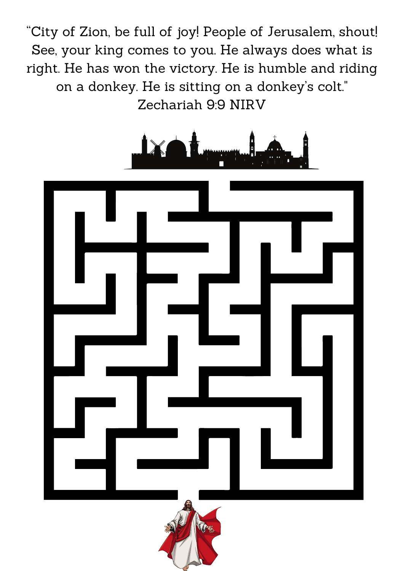"City of Zion, be full of joy! People of Jerusalem, shout! See, your king comes to you. He always does what is right. He has won the victory. He is humble and riding on a donkey. He is sitting on a donkey's colt." Zechariah 9:9 NIRV